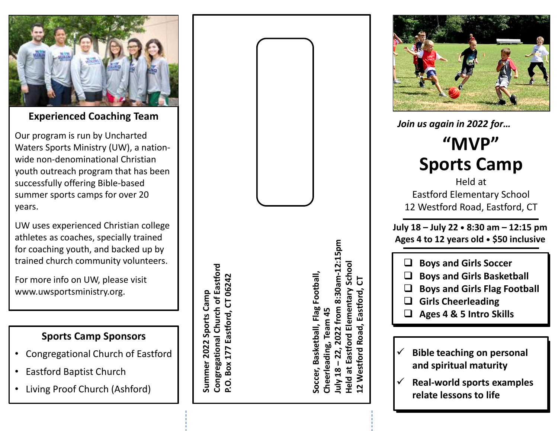

**Experienced Coaching Team**

Our program is run by Uncharted Waters Sports Ministry (UW), a nationwide non-denominational Christian youth outreach program that has been successfully offering Bible-based summer sports camps for over 20 years.

UW uses experienced Christian college athletes as coaches, specially trained for coaching youth, and backed up by trained church community volunteers.

For more info on UW, please visit www.uwsportsministry.org.

#### **Sports Camp Sponsors**

- Congregational Church of Eastford
- Eastford Baptist Church
- Living Proof Church (Ashford)

**Congregational Church of Eastford Congregational Church of Eastford** Eastford, CT 06242 **P.O. Box 177 Eastford, CT 06242** Summer 2022 Sports Camp **Summer 2022 Sports Camp P.O. Box 177** 

**July 18 – 22, 2022 from 8:30am-12:15pm**  8:30am-12:15pm **Held at Eastford Elementary School** Schoo **Soccer, Basketball, Flag Football,** Soccer, Basketball, Flag Football, 능 **12 Westford Road, Eastford, CT** Elementary Eastford, 2022 from **Cheerleading, Team 45** ಕ estford Roa Eastford Cheerleading, 22, uly 18 -Held at ⋧  $\mathbf{\Omega}$ 



*Join us again in 2022 for…*

# **"MVP"Sports Camp**

Held atEastford Elementary School12 Westford Road, Eastford, CT

**July 18 – July 22 • 8:30 am – 12:15 pmAges 4 to 12 years old • \$50 inclusive**

 $\Box$ **Boys and Girls Soccer Boys and Girls Soccer**

- **Boys and Girls Basketball**  $\Box$
- **Boys and Girls Basketball**<br> **Boys and Girls Flag Football**  $\Box$ **■ Boys and Girls Flag Football**<br>□ Girls Choorloading
- $\Box$ **Girls Cheerleading Girls Cheerleading**
- **Ages 4 & 5 Intro Skills**  $\Box$
- $\checkmark$ **★** Bible teaching on personal **and spiritual maturityand spiritual maturity**
- $\checkmark$  **Examples of real-world sports Real-world sports examples figures figures connect** to **i** *for the connect of the space of the space of the space of the space of the space of the space of the space of the space of the space of the space of the space of the space of the space*